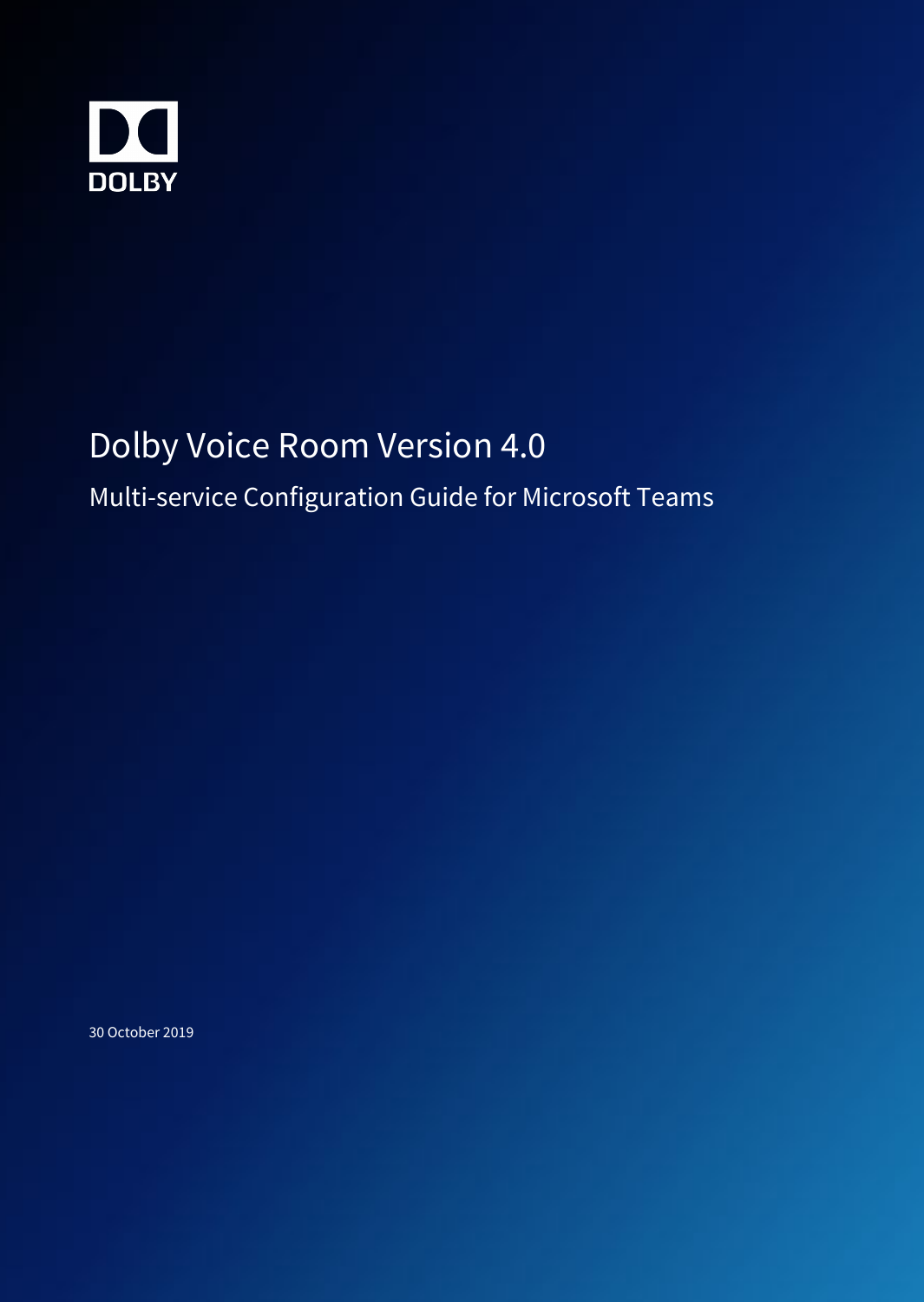

# Dolby Voice Room Version 4.0

## Multi-service Configuration Guide for Microsoft Teams

30 October 2019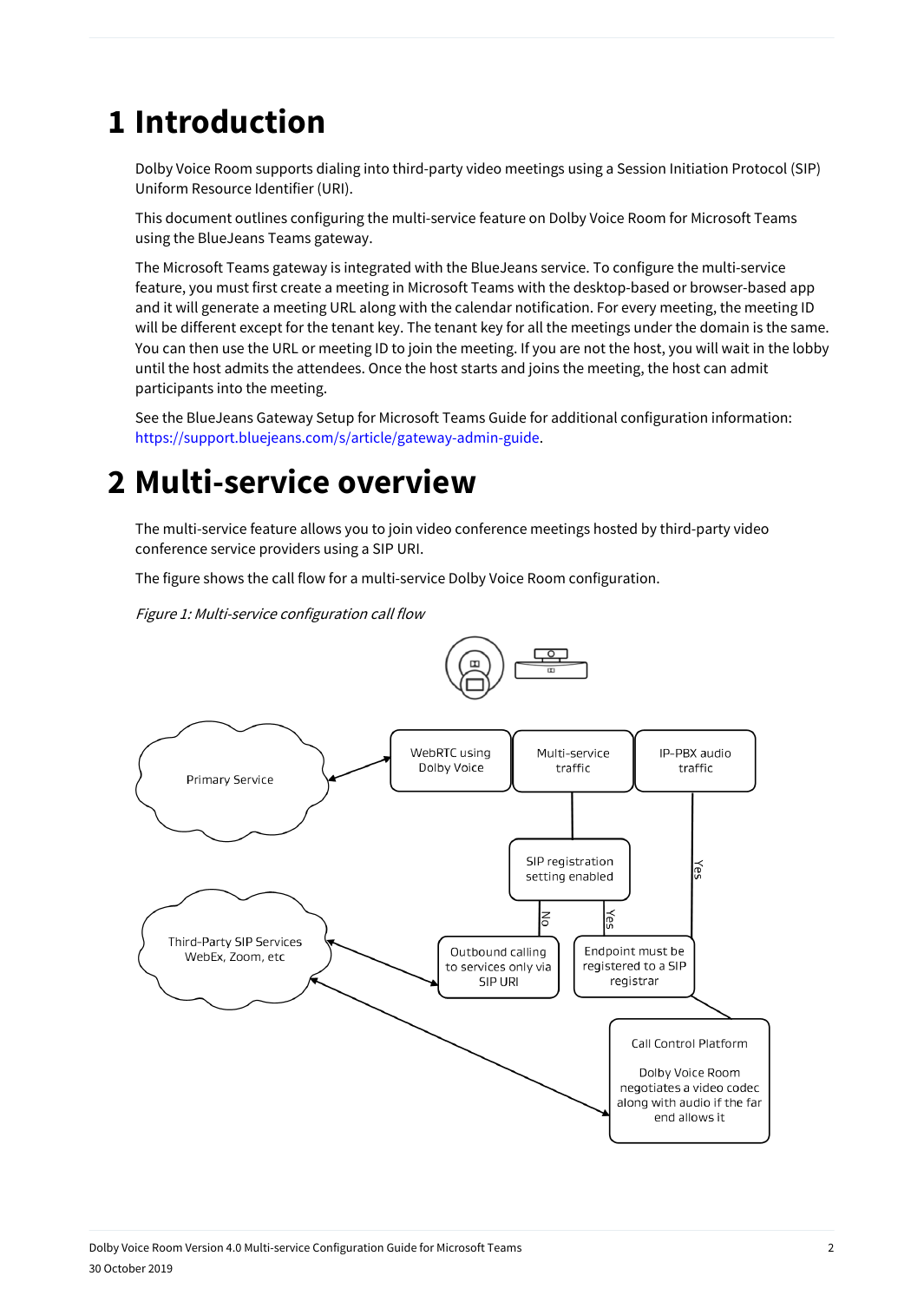## **1 Introduction**

Dolby Voice Room supports dialing into third-party video meetings using a Session Initiation Protocol (SIP) Uniform Resource Identifier (URI).

This document outlines configuring the multi-service feature on Dolby Voice Room for Microsoft Teams using the BlueJeans Teams gateway.

The Microsoft Teams gateway is integrated with the BlueJeans service. To configure the multi-service feature, you must first create a meeting in Microsoft Teams with the desktop-based or browser-based app and it will generate a meeting URL along with the calendar notification. For every meeting, the meeting ID will be different except for the tenant key. The tenant key for all the meetings under the domain is the same. You can then use the URL or meeting ID to join the meeting. If you are not the host, you will wait in the lobby until the host admits the attendees. Once the host starts and joins the meeting, the host can admit participants into the meeting.

See the BlueJeans Gateway Setup for Microsoft Teams Guide for additional configuration information: <https://support.bluejeans.com/s/article/gateway-admin-guide>.

### **2 Multi-service overview**

The multi-service feature allows you to join video conference meetings hosted by third-party video conference service providers using a SIP URI.

The figure shows the call flow for a multi-service Dolby Voice Room configuration.

Figure 1: Multi-service configuration call flow

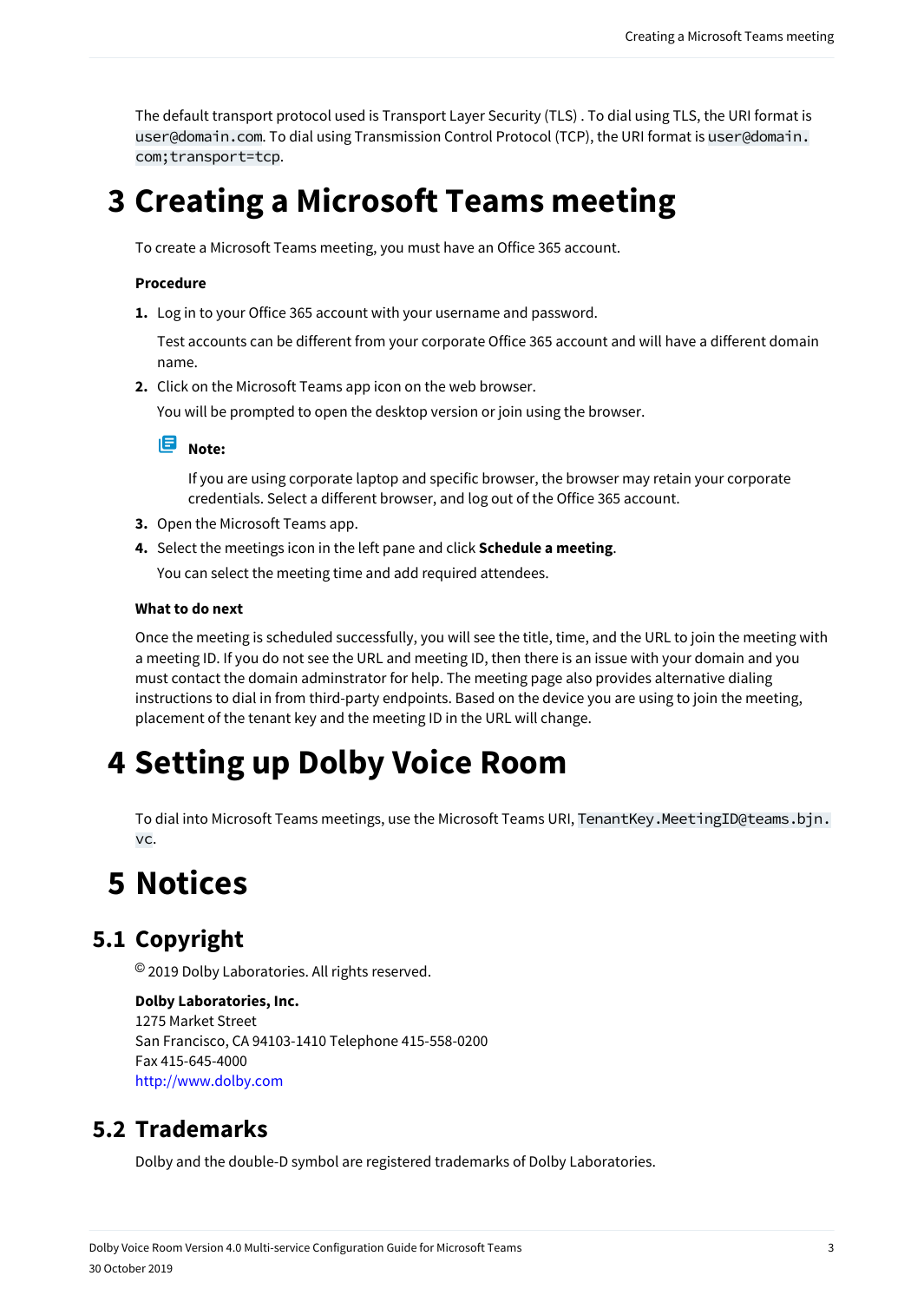The default transport protocol used is Transport Layer Security (TLS) . To dial using TLS, the URI format is user@domain.com. To dial using Transmission Control Protocol (TCP), the URI format is user@domain. com;transport=tcp.

## **3 Creating a Microsoft Teams meeting**

To create a Microsoft Teams meeting, you must have an Office 365 account.

#### **Procedure**

**1.** Log in to your Office 365 account with your username and password.

Test accounts can be different from your corporate Office 365 account and will have a different domain name.

**2.** Click on the Microsoft Teams app icon on the web browser.

You will be prompted to open the desktop version or join using the browser.



If you are using corporate laptop and specific browser, the browser may retain your corporate credentials. Select a different browser, and log out of the Office 365 account.

- **3.** Open the Microsoft Teams app.
- **4.** Select the meetings icon in the left pane and click **Schedule a meeting**. You can select the meeting time and add required attendees.

#### **What to do next**

Once the meeting is scheduled successfully, you will see the title, time, and the URL to join the meeting with a meeting ID. If you do not see the URL and meeting ID, then there is an issue with your domain and you must contact the domain adminstrator for help. The meeting page also provides alternative dialing instructions to dial in from third-party endpoints. Based on the device you are using to join the meeting, placement of the tenant key and the meeting ID in the URL will change.

## **4 Setting up Dolby Voice Room**

To dial into Microsoft Teams meetings, use the Microsoft Teams URI, TenantKey.MeetingID@teams.bjn. vc.

### **5 Notices**

#### **5.1 Copyright**

© 2019 Dolby Laboratories. All rights reserved.

#### **Dolby Laboratories, Inc.**

1275 Market Street San Francisco, CA 94103-1410 Telephone 415-558-0200 Fax 415-645-4000 <http://www.dolby.com>

#### **5.2 Trademarks**

Dolby and the double-D symbol are registered trademarks of Dolby Laboratories.